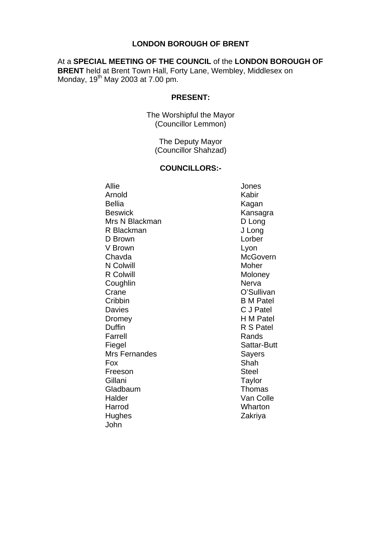#### **LONDON BOROUGH OF BRENT**

#### At a **SPECIAL MEETING OF THE COUNCIL** of the **LONDON BOROUGH OF**

**BRENT** held at Brent Town Hall, Forty Lane, Wembley, Middlesex on Monday,  $19^{th}$  May 2003 at 7.00 pm.

#### **PRESENT:**

The Worshipful the Mayor (Councillor Lemmon)

> The Deputy Mayor (Councillor Shahzad)

#### **COUNCILLORS:-**

Allie Jones Arnold Kabir Bellia **Kagan** Beswick **Kansagra** Mrs N Blackman D Long R Blackman J Long D Brown **Lorber** V Brown **Lyon** Chavda McGovern N Colwill Moher R Colwill Moloney Coughlin Nerva Crane Crane O'Sullivan Cribbin B M Patel Davies C J Patel Dromey **H M Patel** Duffin R S Patel Farrell **Rands** Fiegel Sattar-Butt Mrs Fernandes<br>
Fox Shah Freeson Steel Gillani Taylor Gladbaum **Thomas** Halder Van Colle<br>Harrod Van Colle<br>Wharton Hughes Zakriya John

 $S$ hah Wharton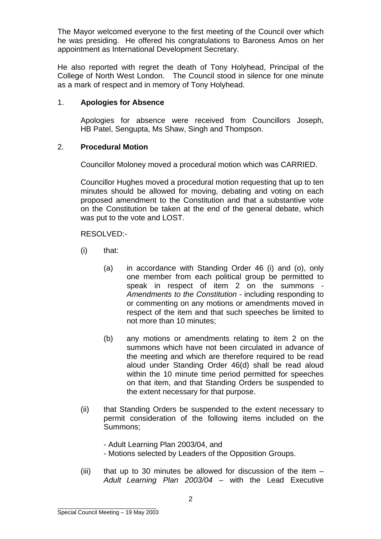The Mayor welcomed everyone to the first meeting of the Council over which he was presiding. He offered his congratulations to Baroness Amos on her appointment as International Development Secretary.

He also reported with regret the death of Tony Holyhead, Principal of the College of North West London. The Council stood in silence for one minute as a mark of respect and in memory of Tony Holyhead.

#### 1. **Apologies for Absence**

Apologies for absence were received from Councillors Joseph, HB Patel, Sengupta, Ms Shaw, Singh and Thompson.

#### 2. **Procedural Motion**

Councillor Moloney moved a procedural motion which was CARRIED.

Councillor Hughes moved a procedural motion requesting that up to ten minutes should be allowed for moving, debating and voting on each proposed amendment to the Constitution and that a substantive vote on the Constitution be taken at the end of the general debate, which was put to the vote and LOST.

RESOLVED:-

- (i) that:
	- (a) in accordance with Standing Order 46 (i) and (o), only one member from each political group be permitted to speak in respect of item 2 on the summons *Amendments to the Constitution* - including responding to or commenting on any motions or amendments moved in respect of the item and that such speeches be limited to not more than 10 minutes;
	- (b) any motions or amendments relating to item 2 on the summons which have not been circulated in advance of the meeting and which are therefore required to be read aloud under Standing Order 46(d) shall be read aloud within the 10 minute time period permitted for speeches on that item, and that Standing Orders be suspended to the extent necessary for that purpose.
- (ii) that Standing Orders be suspended to the extent necessary to permit consideration of the following items included on the Summons;

- Adult Learning Plan 2003/04, and - Motions selected by Leaders of the Opposition Groups.

(iii) that up to 30 minutes be allowed for discussion of the item – *Adult Learning Plan 2003/04* – with the Lead Executive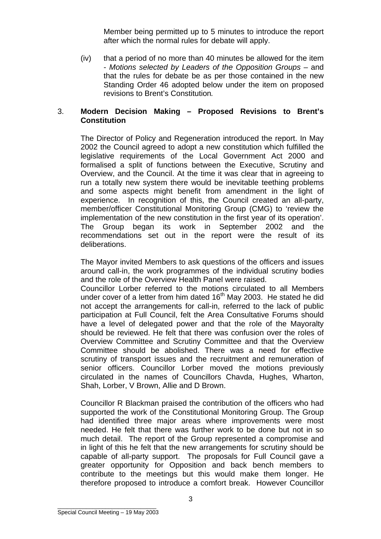Member being permitted up to 5 minutes to introduce the report after which the normal rules for debate will apply.

(iv) that a period of no more than 40 minutes be allowed for the item - *Motions selected by Leaders of the Opposition Groups* – and that the rules for debate be as per those contained in the new Standing Order 46 adopted below under the item on proposed revisions to Brent's Constitution*.* 

#### 3. **Modern Decision Making – Proposed Revisions to Brent's Constitution**

The Director of Policy and Regeneration introduced the report. In May 2002 the Council agreed to adopt a new constitution which fulfilled the legislative requirements of the Local Government Act 2000 and formalised a split of functions between the Executive, Scrutiny and Overview, and the Council. At the time it was clear that in agreeing to run a totally new system there would be inevitable teething problems and some aspects might benefit from amendment in the light of experience. In recognition of this, the Council created an all-party, member/officer Constitutional Monitoring Group (CMG) to 'review the implementation of the new constitution in the first year of its operation'. The Group began its work in September 2002 and the recommendations set out in the report were the result of its deliberations.

The Mayor invited Members to ask questions of the officers and issues around call-in, the work programmes of the individual scrutiny bodies and the role of the Overview Health Panel were raised.

Councillor Lorber referred to the motions circulated to all Members under cover of a letter from him dated  $16<sup>th</sup>$  May 2003. He stated he did not accept the arrangements for call-in, referred to the lack of public participation at Full Council, felt the Area Consultative Forums should have a level of delegated power and that the role of the Mayoralty should be reviewed. He felt that there was confusion over the roles of Overview Committee and Scrutiny Committee and that the Overview Committee should be abolished. There was a need for effective scrutiny of transport issues and the recruitment and remuneration of senior officers. Councillor Lorber moved the motions previously circulated in the names of Councillors Chavda, Hughes, Wharton, Shah, Lorber, V Brown, Allie and D Brown.

Councillor R Blackman praised the contribution of the officers who had supported the work of the Constitutional Monitoring Group. The Group had identified three major areas where improvements were most needed. He felt that there was further work to be done but not in so much detail. The report of the Group represented a compromise and in light of this he felt that the new arrangements for scrutiny should be capable of all-party support. The proposals for Full Council gave a greater opportunity for Opposition and back bench members to contribute to the meetings but this would make them longer. He therefore proposed to introduce a comfort break. However Councillor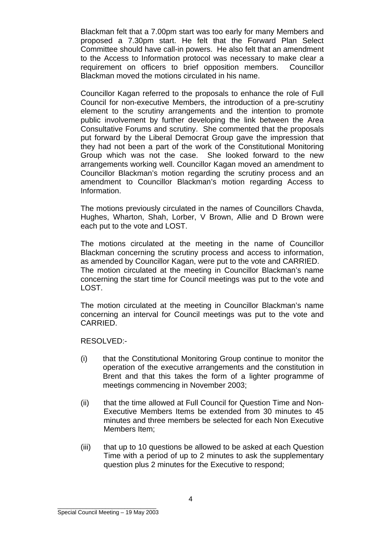Blackman felt that a 7.00pm start was too early for many Members and proposed a 7.30pm start. He felt that the Forward Plan Select Committee should have call-in powers. He also felt that an amendment to the Access to Information protocol was necessary to make clear a requirement on officers to brief opposition members. Councillor Blackman moved the motions circulated in his name.

Councillor Kagan referred to the proposals to enhance the role of Full Council for non-executive Members, the introduction of a pre-scrutiny element to the scrutiny arrangements and the intention to promote public involvement by further developing the link between the Area Consultative Forums and scrutiny. She commented that the proposals put forward by the Liberal Democrat Group gave the impression that they had not been a part of the work of the Constitutional Monitoring Group which was not the case. She looked forward to the new arrangements working well. Councillor Kagan moved an amendment to Councillor Blackman's motion regarding the scrutiny process and an amendment to Councillor Blackman's motion regarding Access to Information.

The motions previously circulated in the names of Councillors Chavda, Hughes, Wharton, Shah, Lorber, V Brown, Allie and D Brown were each put to the vote and LOST.

The motions circulated at the meeting in the name of Councillor Blackman concerning the scrutiny process and access to information, as amended by Councillor Kagan, were put to the vote and CARRIED. The motion circulated at the meeting in Councillor Blackman's name concerning the start time for Council meetings was put to the vote and LOST.

The motion circulated at the meeting in Councillor Blackman's name concerning an interval for Council meetings was put to the vote and CARRIED.

RESOLVED:-

- (i) that the Constitutional Monitoring Group continue to monitor the operation of the executive arrangements and the constitution in Brent and that this takes the form of a lighter programme of meetings commencing in November 2003;
- (ii) that the time allowed at Full Council for Question Time and Non-Executive Members Items be extended from 30 minutes to 45 minutes and three members be selected for each Non Executive Members Item;
- (iii) that up to 10 questions be allowed to be asked at each Question Time with a period of up to 2 minutes to ask the supplementary question plus 2 minutes for the Executive to respond;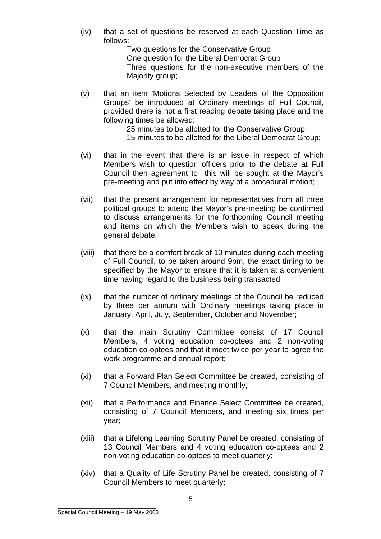(iv) that a set of questions be reserved at each Question Time as follows:

Two questions for the Conservative Group One question for the Liberal Democrat Group Three questions for the non-executive members of the Majority group;

(v) that an item 'Motions Selected by Leaders of the Opposition Groups' be introduced at Ordinary meetings of Full Council, provided there is not a first reading debate taking place and the following times be allowed:

25 minutes to be allotted for the Conservative Group 15 minutes to be allotted for the Liberal Democrat Group;

- (vi) that in the event that there is an issue in respect of which Members wish to question officers prior to the debate at Full Council then agreement to this will be sought at the Mayor's pre-meeting and put into effect by way of a procedural motion;
- (vii) that the present arrangement for representatives from all three political groups to attend the Mayor's pre-meeting be confirmed to discuss arrangements for the forthcoming Council meeting and items on which the Members wish to speak during the general debate;
- (viii) that there be a comfort break of 10 minutes during each meeting of Full Council, to be taken around 9pm, the exact timing to be specified by the Mayor to ensure that it is taken at a convenient time having regard to the business being transacted;
- (ix) that the number of ordinary meetings of the Council be reduced by three per annum with Ordinary meetings taking place in January, April, July, September, October and November;
- (x) that the main Scrutiny Committee consist of 17 Council Members, 4 voting education co-optees and 2 non-voting education co-optees and that it meet twice per year to agree the work programme and annual report;
- (xi) that a Forward Plan Select Committee be created, consisting of 7 Council Members, and meeting monthly;
- (xii) that a Performance and Finance Select Committee be created, consisting of 7 Council Members, and meeting six times per year;
- (xiii) that a Lifelong Learning Scrutiny Panel be created, consisting of 13 Council Members and 4 voting education co-optees and 2 non-voting education co-optees to meet quarterly;
- (xiv) that a Quality of Life Scrutiny Panel be created, consisting of 7 Council Members to meet quarterly;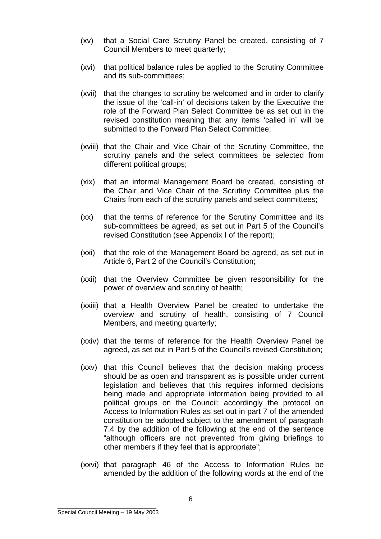- (xv) that a Social Care Scrutiny Panel be created, consisting of 7 Council Members to meet quarterly;
- (xvi) that political balance rules be applied to the Scrutiny Committee and its sub-committees;
- (xvii) that the changes to scrutiny be welcomed and in order to clarify the issue of the 'call-in' of decisions taken by the Executive the role of the Forward Plan Select Committee be as set out in the revised constitution meaning that any items 'called in' will be submitted to the Forward Plan Select Committee;
- (xviii) that the Chair and Vice Chair of the Scrutiny Committee, the scrutiny panels and the select committees be selected from different political groups;
- (xix) that an informal Management Board be created, consisting of the Chair and Vice Chair of the Scrutiny Committee plus the Chairs from each of the scrutiny panels and select committees;
- (xx) that the terms of reference for the Scrutiny Committee and its sub-committees be agreed, as set out in Part 5 of the Council's revised Constitution (see Appendix I of the report);
- (xxi) that the role of the Management Board be agreed, as set out in Article 6, Part 2 of the Council's Constitution;
- (xxii) that the Overview Committee be given responsibility for the power of overview and scrutiny of health;
- (xxiii) that a Health Overview Panel be created to undertake the overview and scrutiny of health, consisting of 7 Council Members, and meeting quarterly;
- (xxiv) that the terms of reference for the Health Overview Panel be agreed, as set out in Part 5 of the Council's revised Constitution;
- (xxv) that this Council believes that the decision making process should be as open and transparent as is possible under current legislation and believes that this requires informed decisions being made and appropriate information being provided to all political groups on the Council; accordingly the protocol on Access to Information Rules as set out in part 7 of the amended constitution be adopted subject to the amendment of paragraph 7.4 by the addition of the following at the end of the sentence "although officers are not prevented from giving briefings to other members if they feel that is appropriate";
- (xxvi) that paragraph 46 of the Access to Information Rules be amended by the addition of the following words at the end of the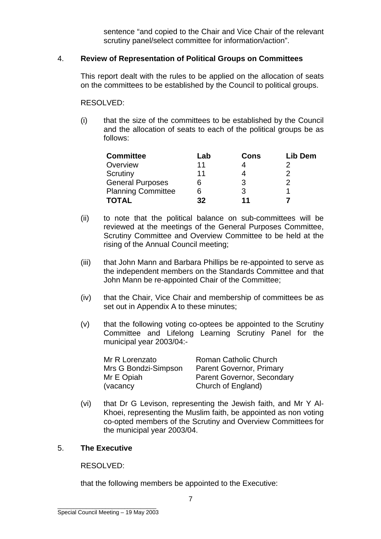sentence "and copied to the Chair and Vice Chair of the relevant scrutiny panel/select committee for information/action".

#### 4. **Review of Representation of Political Groups on Committees**

This report dealt with the rules to be applied on the allocation of seats on the committees to be established by the Council to political groups.

RESOLVED:

(i) that the size of the committees to be established by the Council and the allocation of seats to each of the political groups be as follows:

| <b>Committee</b>          | Lab | Cons | Lib Dem |
|---------------------------|-----|------|---------|
| Overview                  | 11  |      |         |
| Scrutiny                  | 11  |      |         |
| <b>General Purposes</b>   |     | 3    |         |
| <b>Planning Committee</b> |     | 3    |         |
| <b>TOTAL</b>              | 32  | 11   |         |

- (ii) to note that the political balance on sub-committees will be reviewed at the meetings of the General Purposes Committee, Scrutiny Committee and Overview Committee to be held at the rising of the Annual Council meeting;
- (iii) that John Mann and Barbara Phillips be re-appointed to serve as the independent members on the Standards Committee and that John Mann be re-appointed Chair of the Committee;
- (iv) that the Chair, Vice Chair and membership of committees be as set out in Appendix A to these minutes;
- (v) that the following voting co-optees be appointed to the Scrutiny Committee and Lifelong Learning Scrutiny Panel for the municipal year 2003/04:-

| Mr R Lorenzato       | Roman Catholic Church      |
|----------------------|----------------------------|
| Mrs G Bondzi-Simpson | Parent Governor, Primary   |
| Mr E Opiah           | Parent Governor, Secondary |
| (vacancy)            | Church of England)         |

(vi) that Dr G Levison, representing the Jewish faith, and Mr Y Al-Khoei, representing the Muslim faith, be appointed as non voting co-opted members of the Scrutiny and Overview Committees for the municipal year 2003/04.

#### 5. **The Executive**

RESOLVED:

that the following members be appointed to the Executive: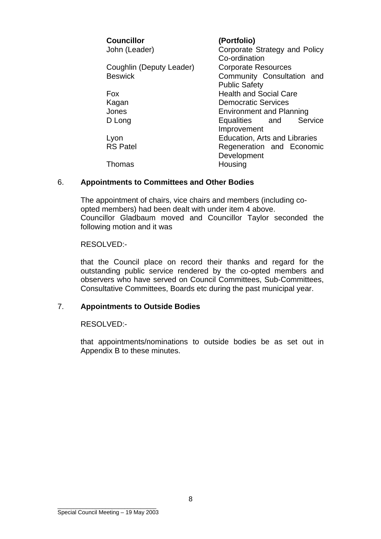| <b>Councillor</b>        | (Portfolio)                     |
|--------------------------|---------------------------------|
| John (Leader)            | Corporate Strategy and Policy   |
|                          | Co-ordination                   |
| Coughlin (Deputy Leader) | <b>Corporate Resources</b>      |
| <b>Beswick</b>           | Community Consultation and      |
|                          | <b>Public Safety</b>            |
| <b>Fox</b>               | <b>Health and Social Care</b>   |
| Kagan                    | <b>Democratic Services</b>      |
| Jones                    | <b>Environment and Planning</b> |
| D Long                   | Equalities and Service          |
|                          | Improvement                     |
| Lyon                     | Education, Arts and Libraries   |
| <b>RS Patel</b>          | Regeneration and Economic       |
|                          | Development                     |
| Thomas                   | Housing                         |

#### 6. **Appointments to Committees and Other Bodies**

The appointment of chairs, vice chairs and members (including coopted members) had been dealt with under item 4 above. Councillor Gladbaum moved and Councillor Taylor seconded the following motion and it was

RESOLVED:-

that the Council place on record their thanks and regard for the outstanding public service rendered by the co-opted members and observers who have served on Council Committees, Sub-Committees, Consultative Committees, Boards etc during the past municipal year.

#### 7. **Appointments to Outside Bodies**

RESOLVED:-

that appointments/nominations to outside bodies be as set out in Appendix B to these minutes.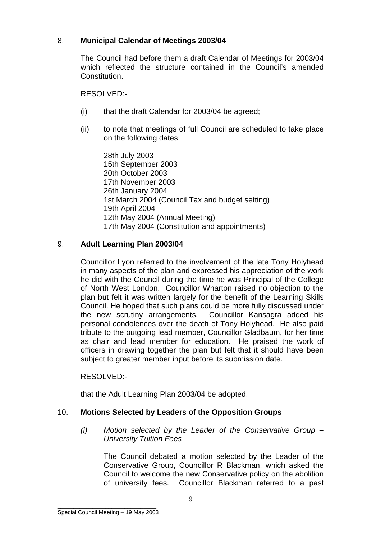#### 8. **Municipal Calendar of Meetings 2003/04**

The Council had before them a draft Calendar of Meetings for 2003/04 which reflected the structure contained in the Council's amended **Constitution** 

RESOLVED:-

- (i) that the draft Calendar for 2003/04 be agreed;
- (ii) to note that meetings of full Council are scheduled to take place on the following dates:

28th July 2003 15th September 2003 20th October 2003 17th November 2003 26th January 2004 1st March 2004 (Council Tax and budget setting) 19th April 2004 12th May 2004 (Annual Meeting) 17th May 2004 (Constitution and appointments)

#### 9. **Adult Learning Plan 2003/04**

Councillor Lyon referred to the involvement of the late Tony Holyhead in many aspects of the plan and expressed his appreciation of the work he did with the Council during the time he was Principal of the College of North West London. Councillor Wharton raised no objection to the plan but felt it was written largely for the benefit of the Learning Skills Council. He hoped that such plans could be more fully discussed under the new scrutiny arrangements. Councillor Kansagra added his personal condolences over the death of Tony Holyhead. He also paid tribute to the outgoing lead member, Councillor Gladbaum, for her time as chair and lead member for education. He praised the work of officers in drawing together the plan but felt that it should have been subject to greater member input before its submission date.

#### RESOLVED:-

that the Adult Learning Plan 2003/04 be adopted.

#### 10. **Motions Selected by Leaders of the Opposition Groups**

*(i) Motion selected by the Leader of the Conservative Group – University Tuition Fees* 

The Council debated a motion selected by the Leader of the Conservative Group, Councillor R Blackman, which asked the Council to welcome the new Conservative policy on the abolition of university fees. Councillor Blackman referred to a past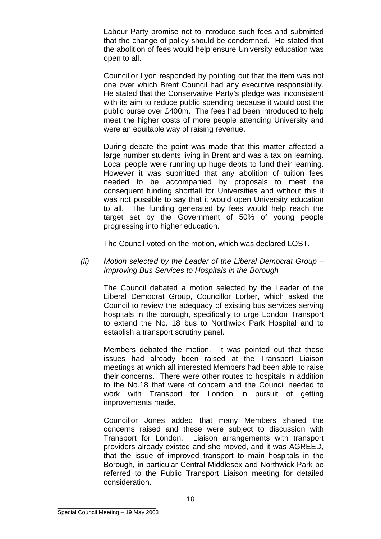Labour Party promise not to introduce such fees and submitted that the change of policy should be condemned. He stated that the abolition of fees would help ensure University education was open to all.

Councillor Lyon responded by pointing out that the item was not one over which Brent Council had any executive responsibility. He stated that the Conservative Party's pledge was inconsistent with its aim to reduce public spending because it would cost the public purse over £400m. The fees had been introduced to help meet the higher costs of more people attending University and were an equitable way of raising revenue.

During debate the point was made that this matter affected a large number students living in Brent and was a tax on learning. Local people were running up huge debts to fund their learning. However it was submitted that any abolition of tuition fees needed to be accompanied by proposals to meet the consequent funding shortfall for Universities and without this it was not possible to say that it would open University education to all. The funding generated by fees would help reach the target set by the Government of 50% of young people progressing into higher education.

The Council voted on the motion, which was declared LOST.

*(ii) Motion selected by the Leader of the Liberal Democrat Group – Improving Bus Services to Hospitals in the Borough* 

The Council debated a motion selected by the Leader of the Liberal Democrat Group, Councillor Lorber, which asked the Council to review the adequacy of existing bus services serving hospitals in the borough, specifically to urge London Transport to extend the No. 18 bus to Northwick Park Hospital and to establish a transport scrutiny panel.

Members debated the motion. It was pointed out that these issues had already been raised at the Transport Liaison meetings at which all interested Members had been able to raise their concerns. There were other routes to hospitals in addition to the No.18 that were of concern and the Council needed to work with Transport for London in pursuit of getting improvements made.

Councillor Jones added that many Members shared the concerns raised and these were subject to discussion with Transport for London. Liaison arrangements with transport providers already existed and she moved, and it was AGREED, that the issue of improved transport to main hospitals in the Borough, in particular Central Middlesex and Northwick Park be referred to the Public Transport Liaison meeting for detailed consideration.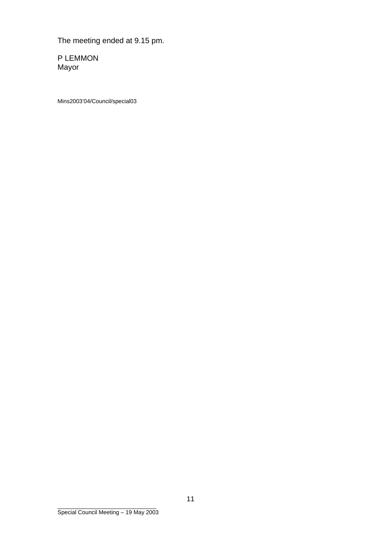The meeting ended at 9.15 pm.

P LEMMON Mayor

Mins2003'04/Council/special03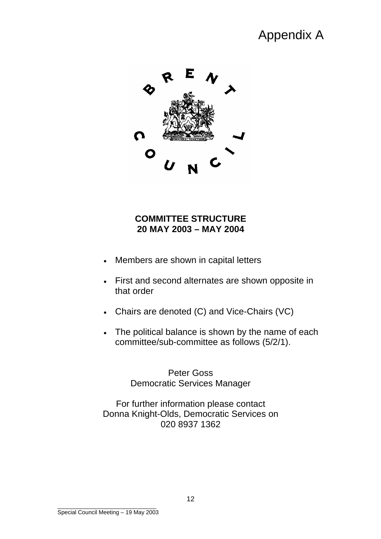# Appendix A



## **COMMITTEE STRUCTURE 20 MAY 2003 – MAY 2004**

- Members are shown in capital letters
- First and second alternates are shown opposite in that order
- Chairs are denoted (C) and Vice-Chairs (VC)
- The political balance is shown by the name of each committee/sub-committee as follows (5/2/1).

Peter Goss Democratic Services Manager

For further information please contact Donna Knight-Olds, Democratic Services on 020 8937 1362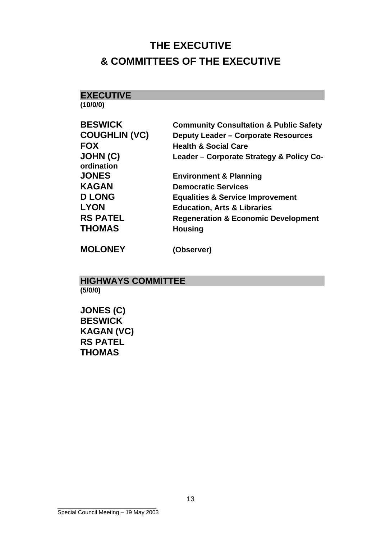# **THE EXECUTIVE & COMMITTEES OF THE EXECUTIVE**

**EXECUTIVE (10/0/0)** 

|  |  | DECWICK |  |
|--|--|---------|--|

| <b>BESWICK</b>                | <b>Community Consultation &amp; Public Safety</b> |
|-------------------------------|---------------------------------------------------|
| <b>COUGHLIN (VC)</b>          | <b>Deputy Leader - Corporate Resources</b>        |
| <b>FOX</b>                    | <b>Health &amp; Social Care</b>                   |
| <b>JOHN (C)</b><br>ordination | Leader - Corporate Strategy & Policy Co-          |
| <b>JONES</b>                  | <b>Environment &amp; Planning</b>                 |
| <b>KAGAN</b>                  | <b>Democratic Services</b>                        |
| <b>D LONG</b>                 | <b>Equalities &amp; Service Improvement</b>       |
| <b>LYON</b>                   | <b>Education, Arts &amp; Libraries</b>            |
| <b>RS PATEL</b>               | <b>Regeneration &amp; Economic Development</b>    |
| THOMAS                        | <b>Housing</b>                                    |
|                               |                                                   |

**MOLONEY (Observer)** 

### **HIGHWAYS COMMITTEE (5/0/0)**

**JONES (C) BESWICK KAGAN (VC) RS PATEL THOMAS**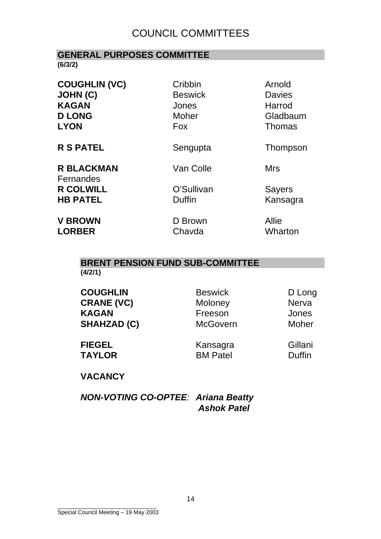## COUNCIL COMMITTEES

#### **GENERAL PURPOSES COMMITTEE (6/3/2)**

**COUGHLIN (VC)** Cribbin Arnold **JOHN (C) Beswick** Davies **KAGAN Jones** Harrod **D LONG** Moher Gladbaum **LYON Fox Fox** Thomas

**R S PATEL** Sengupta Thompson

**R BLACKMAN** Van Colle Mrs Fernandes **R COLWILL C'Sullivan Sayers** 

**HB PATEL Duffin Duffin Kansagra** 

**V BROWN D Brown Allie LORBER** Chavda Wharton

# **BRENT PENSION FUND SUB-COMMITTEE**

**(4/2/1)** 

| <b>COUGHLIN</b>    | <b>Beswick</b>  | D Long       |
|--------------------|-----------------|--------------|
| <b>CRANE (VC)</b>  | Moloney         | <b>Nerva</b> |
| <b>KAGAN</b>       | Freeson         | Jones        |
| <b>SHAHZAD (C)</b> | <b>McGovern</b> | Moher        |
| <b>FIEGEL</b>      | Kansagra        | Gillani      |

**TAYLOR** BM Patel Duffin

**VACANCY** 

*NON-VOTING CO-OPTEE: Ariana Beatty Ashok Patel*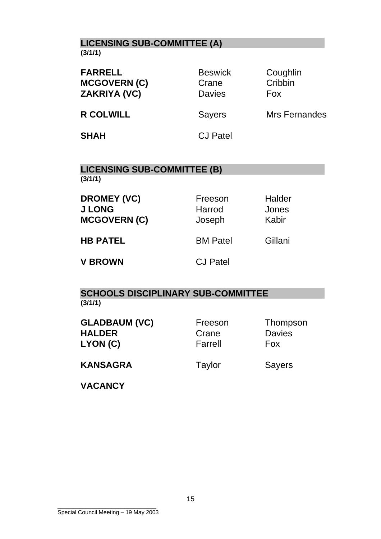## **LICENSING SUB-COMMITTEE (A) (3/1/1)**

| <b>Beswick</b><br>Crane<br><b>Davies</b> | Coughlin<br>Cribbin<br><b>Fox</b> |
|------------------------------------------|-----------------------------------|
| <b>Sayers</b>                            | Mrs Fernandes                     |
| <b>CJ Patel</b>                          |                                   |
|                                          |                                   |

### **LICENSING SUB-COMMITTEE (B) (3/1/1)**

| <b>DROMEY (VC)</b><br><b>J LONG</b><br><b>MCGOVERN (C)</b> | Freeson<br>Harrod<br>Joseph | <b>Halder</b><br>Jones<br>Kabir |
|------------------------------------------------------------|-----------------------------|---------------------------------|
| <b>HB PATEL</b>                                            | <b>BM Patel</b>             | Gillani                         |
| <b>V BROWN</b>                                             | <b>CJ Patel</b>             |                                 |

## **SCHOOLS DISCIPLINARY SUB-COMMITTEE (3/1/1)**

| <b>GLADBAUM (VC)</b><br><b>HALDER</b><br>LYON (C) | Freeson<br>Crane<br>Farrell | Thompson<br><b>Davies</b><br>Fox |
|---------------------------------------------------|-----------------------------|----------------------------------|
| <b>KANSAGRA</b>                                   | Taylor                      | <b>Sayers</b>                    |
| <b>VACANCY</b>                                    |                             |                                  |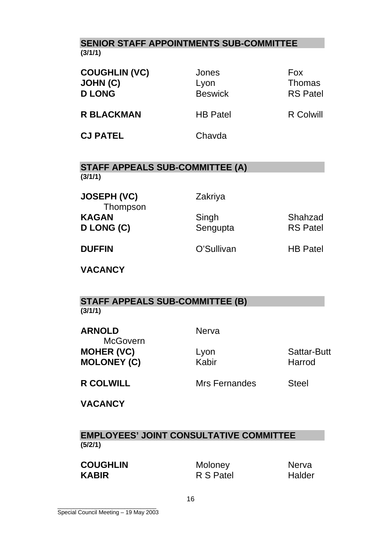## **SENIOR STAFF APPOINTMENTS SUB-COMMITTEE (3/1/1)**

| <b>COUGHLIN (VC)</b><br><b>JOHN (C)</b><br><b>D LONG</b> | Jones<br>Lyon<br><b>Beswick</b> | <b>Fox</b><br><b>Thomas</b><br><b>RS</b> Patel |
|----------------------------------------------------------|---------------------------------|------------------------------------------------|
| <b>R BLACKMAN</b>                                        | <b>HB Patel</b>                 | R Colwill                                      |
| <b>CJ PATEL</b>                                          | Chavda                          |                                                |

## **STAFF APPEALS SUB-COMMITTEE (A) (3/1/1)**

**JOSEPH (VC)** Zakriya Thompson KAGAN Singh Shahzad **D LONG (C)** Sengupta RS Patel

**DUFFIN O'Sullivan HB Patel** 

**VACANCY** 

## **STAFF APPEALS SUB-COMMITTEE (B) (3/1/1)**

**ARNOLD** Nerva **McGovern MOHER (VC)** Lyon **CONFINGUARY Lyon** Sattar-Butt **MOLONEY (C) Kabir Harrod** 

**R COLWILL Steel Mrs Fernandes Steel** 

**VACANCY** 

**EMPLOYEES' JOINT CONSULTATIVE COMMITTEE (5/2/1)** 

**COUGHLIN** Moloney Nerva **KABIR** R S Patel Halder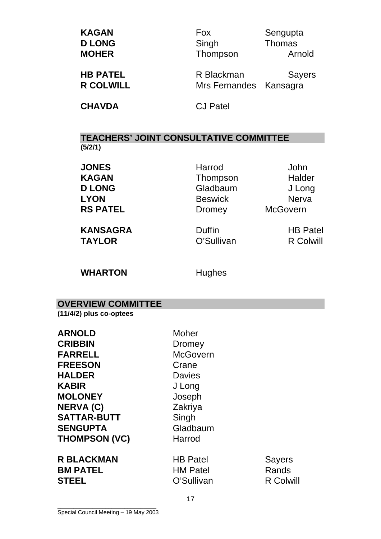| <b>KAGAN</b>  | Fox      | Sengupta |
|---------------|----------|----------|
| <b>D LONG</b> | Singh    | Thomas   |
| <b>MOHER</b>  | Thompson | Arnold   |
|               |          |          |

**HB PATEL** R Blackman Sayers **R COLWILL SERVICE SERVICE SERVICE SERVICE SERVICE SERVICE SERVICE SERVICE SERVICE SERVICE SERVICE SERVICE SERVICE SERVICE SERVICE SERVICE SERVICE SERVICE SERVICE SERVICE SERVICE SERVICE SERVICE SERVICE SERVICE SERVICE SER** 

**CHAVDA** CJ Patel

**TEACHERS' JOINT CONSULTATIVE COMMITTEE (5/2/1)** 

**JONES** Harrod John

KAGAN Thompson Halder **D LONG** Gladbaum J Long **LYON Beswick Nerva RS PATEL** Dromey McGovern

**KANSAGRA Duffin HB Patel TAYLOR O'Sullivan R Colwill** 

WHARTON **Hughes** 

**OVERVIEW COMMITTEE** 

**(11/4/2) plus co-optees** 

**ARNOLD** Moher **CRIBBIN** Dromey FARRELL McGovern **FREESON** Crane **HALDER** Davies **KABIR** J Long **MOLONEY** Joseph **NERVA (C)** Zakriya SATTAR-BUTT Singh **SENGUPTA** Gladbaum **THOMPSON (VC)** Harrod

**R BLACKMAN HB Patel Sayers BM PATEL HM Patel Rands STEEL** C'Sullivan R Colwill

\_\_\_\_\_\_\_\_\_\_\_\_\_\_\_\_\_\_\_\_\_\_\_\_\_\_\_\_\_\_\_ Special Council Meeting – 19 May 2003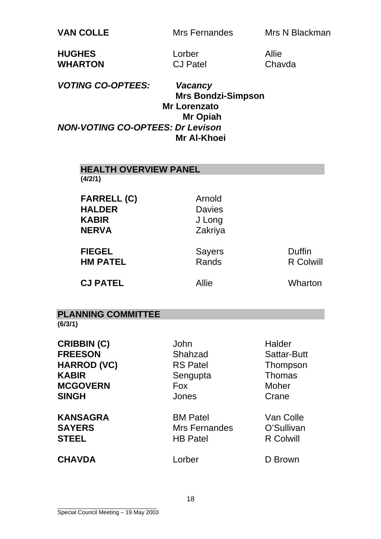**VAN COLLE** Mrs Fernandes Mrs N Blackman

| <b>HUGHES</b>  | Lorber          | <b>Allie</b> |
|----------------|-----------------|--------------|
| <b>WHARTON</b> | <b>CJ Patel</b> | Chay         |

atel Chavda

*VOTING CO-OPTEES: Vacancy*   **Mrs Bondzi-Simpson Mr Lorenzato Mr Opiah**  *NON-VOTING CO-OPTEES: Dr Levison*  **Mr Al-Khoei** 

| <b>HEALTH OVERVIEW PANEL</b><br>(4/2/1)                                                                       |                                                                       |                                                                                    |
|---------------------------------------------------------------------------------------------------------------|-----------------------------------------------------------------------|------------------------------------------------------------------------------------|
| <b>FARRELL (C)</b><br><b>HALDER</b><br><b>KABIR</b><br><b>NERVA</b>                                           | Arnold<br><b>Davies</b><br>J Long<br>Zakriya                          |                                                                                    |
| <b>FIEGEL</b><br><b>HM PATEL</b>                                                                              | <b>Sayers</b><br>Rands                                                | <b>Duffin</b><br><b>R Colwill</b>                                                  |
| <b>CJ PATEL</b>                                                                                               | <b>Allie</b>                                                          | Wharton                                                                            |
| <b>PLANNING COMMITTEE</b><br>(6/3/1)                                                                          |                                                                       |                                                                                    |
| <b>CRIBBIN (C)</b><br><b>FREESON</b><br><b>HARROD (VC)</b><br><b>KABIR</b><br><b>MCGOVERN</b><br><b>SINGH</b> | John<br>Shahzad<br><b>RS Patel</b><br>Sengupta<br><b>Fox</b><br>Jones | Halder<br><b>Sattar-Butt</b><br>Thompson<br><b>Thomas</b><br><b>Moher</b><br>Crane |
| <b>KANSAGRA</b><br><b>SAYERS</b><br><b>STEEL</b>                                                              | <b>BM Patel</b><br>Mrs Fernandes<br><b>HB Patel</b>                   | Van Colle<br>O'Sullivan<br><b>R Colwill</b>                                        |
| <b>CHAVDA</b>                                                                                                 | Lorber                                                                | D Brown                                                                            |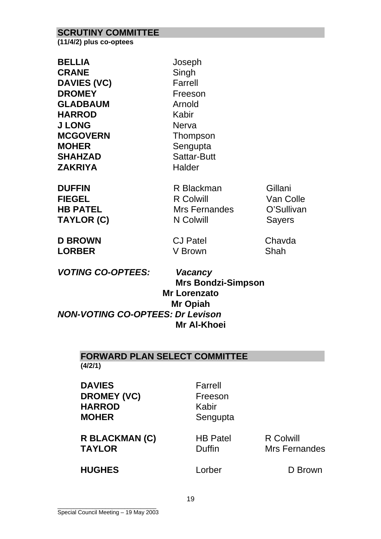#### **SCRUTINY COMMITTEE**

**(11/4/2) plus co-optees** 

| <b>BELLIA</b><br><b>CRANE</b><br><b>DAVIES (VC)</b><br><b>DROMEY</b><br><b>GLADBAUM</b><br><b>HARROD</b><br><b>J LONG</b> | Joseph<br>Singh<br>Farrell<br>Freeson<br>Arnold<br>Kabir<br><b>Nerva</b> |                      |
|---------------------------------------------------------------------------------------------------------------------------|--------------------------------------------------------------------------|----------------------|
| <b>MCGOVERN</b><br><b>MOHER</b><br><b>SHAHZAD</b><br><b>ZAKRIYA</b>                                                       | Thompson<br>Sengupta<br>Sattar-Butt<br><b>Halder</b>                     |                      |
| <b>DUFFIN</b><br><b>FIEGEL</b>                                                                                            | R Blackman<br><b>R</b> Colwill                                           | Gillani<br>Van Colle |

**HB PATEL** Mrs Fernandes O'Sullivan TAYLOR (C) **N Colwill** Sayers

**D BROWN CJ Patel Chavda LORBER** V Brown Shah

*VOTING CO-OPTEES: Vacancy* 

 **Mrs Bondzi-Simpson Mr Lorenzato Mr Opiah**  *NON-VOTING CO-OPTEES: Dr Levison*  **Mr Al-Khoei** 

## **FORWARD PLAN SELECT COMMITTEE**

**(4/2/1)** 

**DAVIES** Farrell **DROMEY (VC)** Freeson **HARROD** Kabir **MOHER** Sengupta

R BLACKMAN (C) **HB Patel R Colwill TAYLOR** Duffin Mrs Fernandes

**HUGHES** Lorber D Brown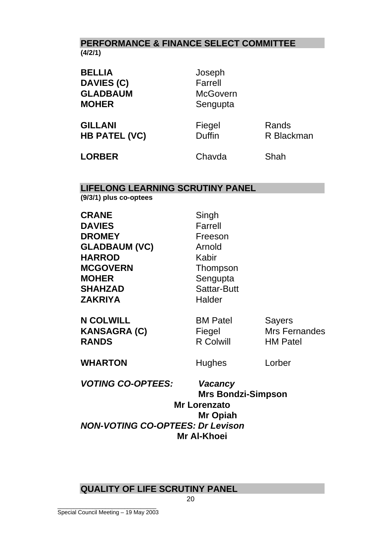## **PERFORMANCE & FINANCE SELECT COMMITTEE (4/2/1)**

| <b>BELLIA</b><br><b>DAVIES (C)</b><br><b>GLADBAUM</b><br><b>MOHER</b> | Joseph<br>Farrell<br><b>McGovern</b><br>Sengupta |                     |
|-----------------------------------------------------------------------|--------------------------------------------------|---------------------|
| <b>GILLANI</b><br><b>HB PATEL (VC)</b>                                | Fiegel<br><b>Duffin</b>                          | Rands<br>R Blackman |
| <b>LORBER</b>                                                         | Chavda                                           | Shah                |

## **LIFELONG LEARNING SCRUTINY PANEL**

**(9/3/1) plus co-optees** 

| <b>VOTING CO-OPTEES:</b>                                                                                                                | <b>Vacancy</b>                                                                                |                                                          |
|-----------------------------------------------------------------------------------------------------------------------------------------|-----------------------------------------------------------------------------------------------|----------------------------------------------------------|
| <b>WHARTON</b>                                                                                                                          | Hughes                                                                                        | Lorber                                                   |
| <b>N COLWILL</b><br><b>KANSAGRA (C)</b><br><b>RANDS</b>                                                                                 | <b>BM Patel</b><br>Fiegel<br><b>R Colwill</b>                                                 | <b>Sayers</b><br><b>Mrs Fernandes</b><br><b>HM Patel</b> |
| <b>DAVIES</b><br><b>DROMEY</b><br><b>GLADBAUM (VC)</b><br><b>HARROD</b><br><b>MCGOVERN</b><br><b>MOHER</b><br><b>SHAHZAD</b><br>ZAKRIYA | Farrell<br>Freeson<br>Arnold<br>Kabir<br>Thompson<br>Sengupta<br><b>Sattar-Butt</b><br>Halder |                                                          |
| <b>CRANE</b>                                                                                                                            | Singh                                                                                         |                                                          |

 **Mrs Bondzi-Simpson Mr Lorenzato Mr Opiah** *NON-VOTING CO-OPTEES: Dr Levison*  **Mr Al-Khoei** 

## **QUALITY OF LIFE SCRUTINY PANEL**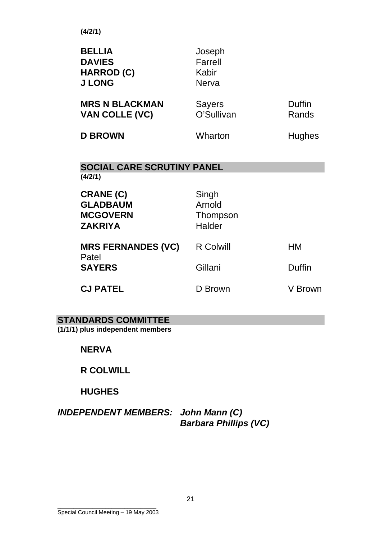**(4/2/1)** 

| <b>BELLIA</b><br><b>DAVIES</b><br><b>HARROD (C)</b><br><b>J LONG</b> | Joseph<br>Farrell<br>Kabir<br><b>Nerva</b> |                 |
|----------------------------------------------------------------------|--------------------------------------------|-----------------|
| <b>MRS N BLACKMAN</b><br><b>VAN COLLE (VC)</b>                       | <b>Sayers</b><br>O'Sullivan                | Duffin<br>Rands |
| <b>D BROWN</b>                                                       | Wharton                                    | <b>Hughes</b>   |
| <b>SOCIAL CARE SCRUTINY PANEL</b>                                    |                                            |                 |
| (4/2/1)                                                              |                                            |                 |
| <b>CRANE (C)</b>                                                     | Singh                                      |                 |
| <b>GLADBAUM</b>                                                      | Arnold                                     |                 |
| <b>MCGOVERN</b><br><b>ZAKRIYA</b>                                    | Thompson<br>Halder                         |                 |
|                                                                      |                                            |                 |
| <b>MRS FERNANDES (VC)</b><br>Patel                                   | <b>R Colwill</b>                           | HM              |
| <b>SAYERS</b>                                                        | Gillani                                    | Duffin          |
| <b>CJ PATEL</b>                                                      | D Brown                                    | V Brown         |

## **STANDARDS COMMITTEE**

**(1/1/1) plus independent members** 

**NERVA** 

## **R COLWILL**

## **HUGHES**

## *INDEPENDENT MEMBERS: John Mann (C) Barbara Phillips (VC)*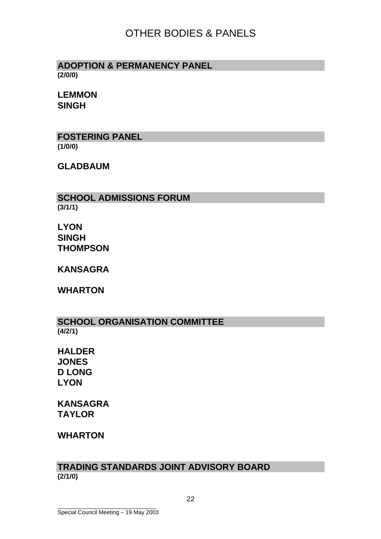## OTHER BODIES & PANELS

#### **ADOPTION & PERMANENCY PANEL (2/0/0)**

**LEMMON SINGH**

**FOSTERING PANEL (1/0/0)** 

**GLADBAUM** 

**SCHOOL ADMISSIONS FORUM (3/1/1)** 

**LYON SINGH THOMPSON** 

**KANSAGRA** 

**WHARTON** 

**SCHOOL ORGANISATION COMMITTEE (4/2/1)** 

**HALDER JONES D LONG LYON** 

**KANSAGRA TAYLOR** 

## **WHARTON**

### **TRADING STANDARDS JOINT ADVISORY BOARD (2/1/0)**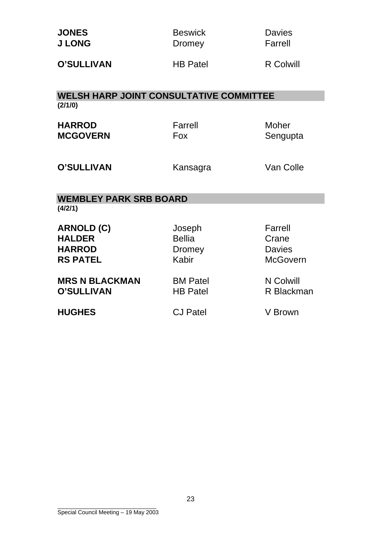| <b>JONES</b><br><b>J LONG</b>                                          | <b>Beswick</b><br>Dromey                          | <b>Davies</b><br>Farrell                             |
|------------------------------------------------------------------------|---------------------------------------------------|------------------------------------------------------|
| <b>O'SULLIVAN</b>                                                      | <b>HB Patel</b>                                   | <b>R</b> Colwill                                     |
| <b>WELSH HARP JOINT CONSULTATIVE COMMITTEE</b>                         |                                                   |                                                      |
| (2/1/0)                                                                |                                                   |                                                      |
| <b>HARROD</b><br><b>MCGOVERN</b>                                       | Farrell<br><b>Fox</b>                             | Moher<br>Sengupta                                    |
| <b>O'SULLIVAN</b>                                                      | Kansagra                                          | Van Colle                                            |
| <b>WEMBLEY PARK SRB BOARD</b>                                          |                                                   |                                                      |
| (4/2/1)                                                                |                                                   |                                                      |
| <b>ARNOLD (C)</b><br><b>HALDER</b><br><b>HARROD</b><br><b>RS PATEL</b> | Joseph<br><b>Bellia</b><br><b>Dromey</b><br>Kabir | Farrell<br>Crane<br><b>Davies</b><br><b>McGovern</b> |
| <b>MRS N BLACKMAN</b><br><b>O'SULLIVAN</b>                             | <b>BM Patel</b><br><b>HB Patel</b>                | N Colwill<br>R Blackman                              |
| <b>HUGHES</b>                                                          | <b>CJ Patel</b>                                   | V Brown                                              |